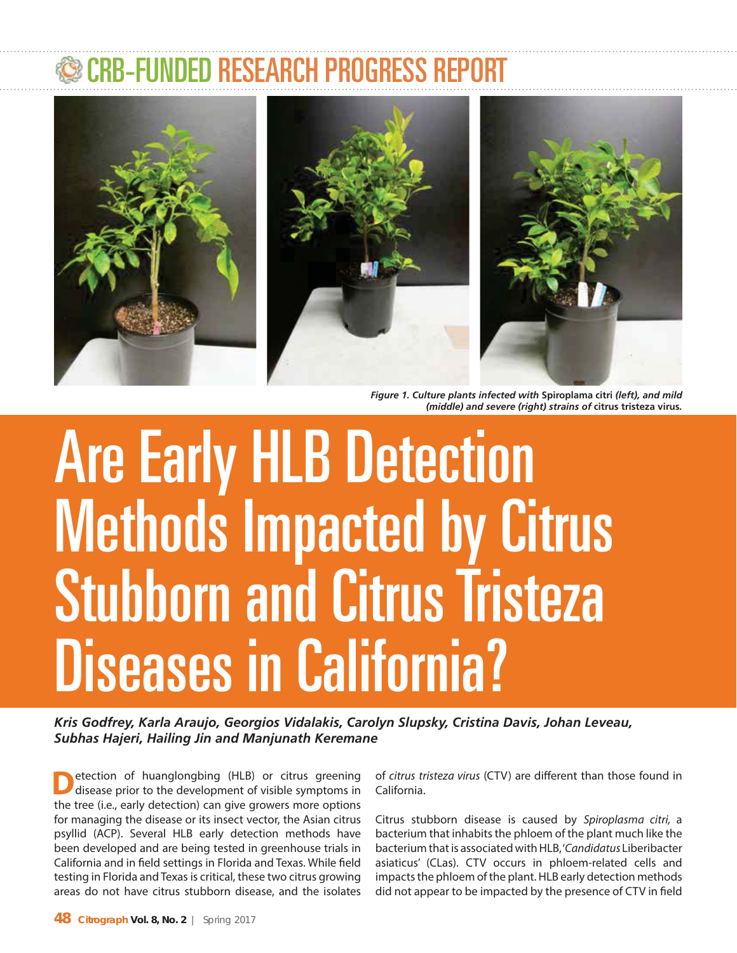## DED RESEARCH PROGRESS REP







*Figure 1. Culture plants infected with* **Spiroplama citri** *(left), and mild (middle) and severe (right) strains of* **citrus tristeza virus***.*

## Are Early HLB Detection Methods Impacted by Citrus Stubborn and Citrus Tristeza Diseases in California?

*Kris Godfrey, Karla Araujo, Georgios Vidalakis, Carolyn Slupsky, Cristina Davis, Johan Leveau, Subhas Hajeri, Hailing Jin and Manjunath Keremane*

**D**etection of huanglongbing (HLB) or citrus greening disease prior to the development of visible symptoms in the tree (i.e., early detection) can give growers more options for managing the disease or its insect vector, th disease prior to the development of visible symptoms in the tree (i.e., early detection) can give growers more options for managing the disease or its insect vector, the Asian citrus psyllid (ACP). Several HLB early detection methods have been developed and are being tested in greenhouse trials in California and in field settings in Florida and Texas. While field testing in Florida and Texas is critical, these two citrus growing areas do not have citrus stubborn disease, and the isolates

of citrus tristeza virus (CTV) are different than those found in California.

Citrus stubborn disease is caused by Spiroplasma citri, a bacterium that inhabits the phloem of the plant much like the bacterium that is associated with HLB, 'Candidatus Liberibacter asiaticus' (CLas). CTV occurs in phloem-related cells and impacts the phloem of the plant. HLB early detection methods did not appear to be impacted by the presence of CTV in field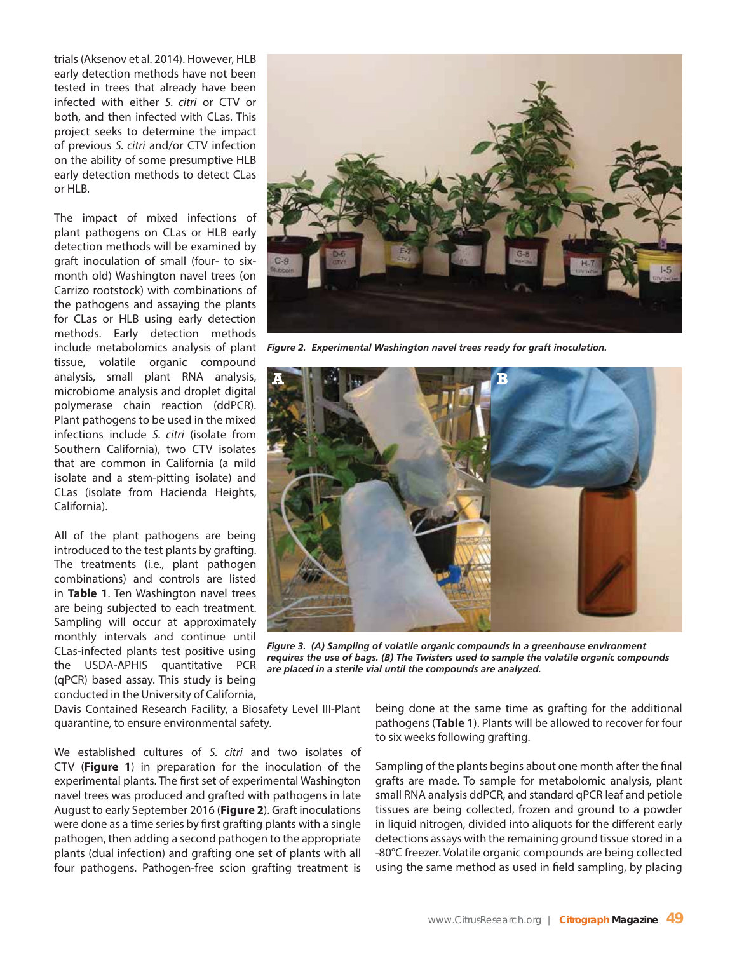trials (Aksenov et al. 2014). However, HLB early detection methods have not been tested in trees that already have been infected with either S. citri or CTV or both, and then infected with CLas. This project seeks to determine the impact of previous S. citri and/or CTV infection on the ability of some presumptive HLB early detection methods to detect CLas or HLB.

The impact of mixed infections of plant pathogens on CLas or HLB early detection methods will be examined by graft inoculation of small (four- to sixmonth old) Washington navel trees (on Carrizo rootstock) with combinations of the pathogens and assaying the plants for CLas or HLB using early detection methods. Early detection methods include metabolomics analysis of plant tissue, volatile organic compound analysis, small plant RNA analysis, microbiome analysis and droplet digital polymerase chain reaction (ddPCR). Plant pathogens to be used in the mixed infections include S. citri (isolate from Southern California), two CTV isolates that are common in California (a mild isolate and a stem-pitting isolate) and CLas (isolate from Hacienda Heights, California).

All of the plant pathogens are being introduced to the test plants by grafting. The treatments (i.e., plant pathogen combinations) and controls are listed in **Table 1**. Ten Washington navel trees are being subjected to each treatment. Sampling will occur at approximately monthly intervals and continue until CLas-infected plants test positive using the USDA-APHIS quantitative PCR (qPCR) based assay. This study is being conducted in the University of California,

Davis Contained Research Facility, a Biosafety Level III-Plant quarantine, to ensure environmental safety.

We established cultures of S. citri and two isolates of CTV (**Figure 1**) in preparation for the inoculation of the experimental plants. The first set of experimental Washington navel trees was produced and grafted with pathogens in late August to early September 2016 (**Figure 2**). Graft inoculations were done as a time series by first grafting plants with a single pathogen, then adding a second pathogen to the appropriate plants (dual infection) and grafting one set of plants with all four pathogens. Pathogen-free scion grafting treatment is



*Figure 2. Experimental Washington navel trees ready for graft inoculation.*



*Figure 3. (A) Sampling of volatile organic compounds in a greenhouse environment requires the use of bags. (B) The Twisters used to sample the volatile organic compounds are placed in a sterile vial until the compounds are analyzed.*

being done at the same time as grafting for the additional pathogens (**Table 1**). Plants will be allowed to recover for four to six weeks following grafting.

Sampling of the plants begins about one month after the final grafts are made. To sample for metabolomic analysis, plant small RNA analysis ddPCR, and standard qPCR leaf and petiole tissues are being collected, frozen and ground to a powder in liquid nitrogen, divided into aliquots for the different early detections assays with the remaining ground tissue stored in a -80°C freezer. Volatile organic compounds are being collected using the same method as used in field sampling, by placing